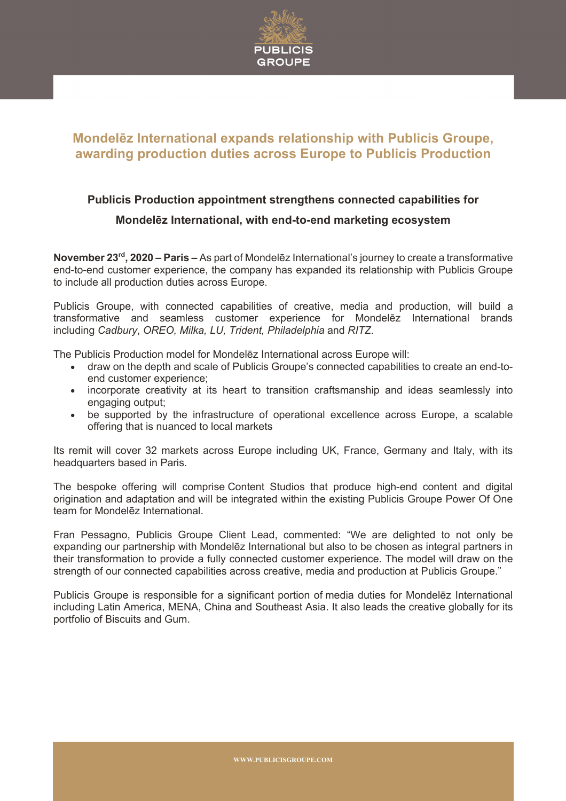

## **Mondelēz International expands relationship with Publicis Groupe, awarding production duties across Europe to Publicis Production**

## **Publicis Production appointment strengthens connected capabilities for Mondelēz International, with end-to-end marketing ecosystem**

**November 23rd, 2020 – Paris –** As part of Mondelēz International's journey to create a transformative end-to-end customer experience, the company has expanded its relationship with Publicis Groupe to include all production duties across Europe.

Publicis Groupe, with connected capabilities of creative, media and production, will build a transformative and seamless customer experience for Mondelēz International brands including *Cadbury*, *OREO, Milka, LU, Trident, Philadelphia* and *RITZ*.

The Publicis Production model for Mondelēz International across Europe will:

- draw on the depth and scale of Publicis Groupe's connected capabilities to create an end-toend customer experience;
- incorporate creativity at its heart to transition craftsmanship and ideas seamlessly into engaging output;
- be supported by the infrastructure of operational excellence across Europe, a scalable offering that is nuanced to local markets

Its remit will cover 32 markets across Europe including UK, France, Germany and Italy, with its headquarters based in Paris.

The bespoke offering will comprise Content Studios that produce high-end content and digital origination and adaptation and will be integrated within the existing Publicis Groupe Power Of One team for Mondelēz International.

Fran Pessagno, Publicis Groupe Client Lead, commented: "We are delighted to not only be expanding our partnership with Mondelēz International but also to be chosen as integral partners in their transformation to provide a fully connected customer experience. The model will draw on the strength of our connected capabilities across creative, media and production at Publicis Groupe."

Publicis Groupe is responsible for a significant portion of media duties for Mondelēz International including Latin America, MENA, China and Southeast Asia. It also leads the creative globally for its portfolio of Biscuits and Gum.